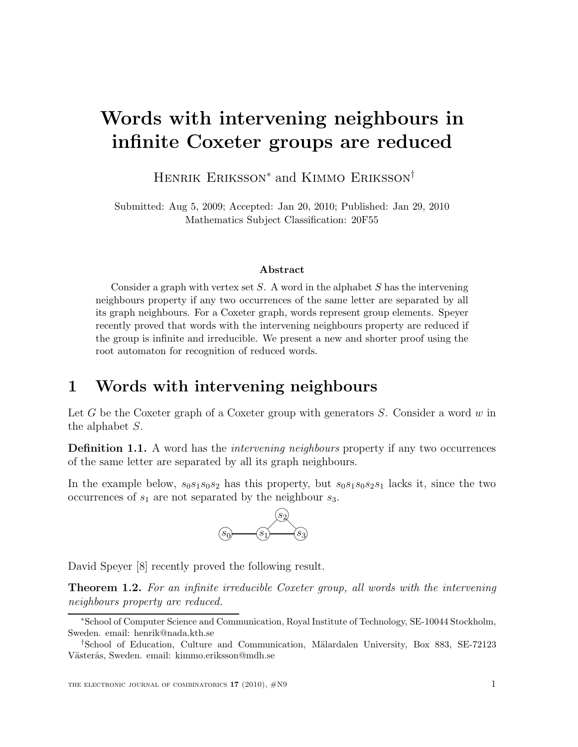# Words with intervening neighbours in infinite Coxeter groups are reduced

Henrik Eriksson<sup>∗</sup> and Kimmo Eriksson†

Submitted: Aug 5, 2009; Accepted: Jan 20, 2010; Published: Jan 29, 2010 Mathematics Subject Classification: 20F55

#### Abstract

Consider a graph with vertex set  $S$ . A word in the alphabet  $S$  has the intervening neighbours property if any two occurrences of the same letter are separated by all its graph neighbours. For a Coxeter graph, words represent group elements. Speyer recently proved that words with the intervening neighbours property are reduced if the group is infinite and irreducible. We present a new and shorter proof using the root automaton for recognition of reduced words.

### 1 Words with intervening neighbours

Let G be the Coxeter graph of a Coxeter group with generators  $S$ . Consider a word  $w$  in the alphabet S.

**Definition 1.1.** A word has the *intervening neighbours* property if any two occurrences of the same letter are separated by all its graph neighbours.

In the example below,  $s_0s_1s_0s_2$  has this property, but  $s_0s_1s_0s_2s_1$  lacks it, since the two occurrences of  $s_1$  are not separated by the neighbour  $s_3$ .



David Speyer [8] recently proved the following result.

**Theorem 1.2.** For an infinite irreducible Coxeter group, all words with the intervening neighbours property are reduced.

<sup>∗</sup>School of Computer Science and Communication, Royal Institute of Technology, SE-10044 Stockholm, Sweden. email: henrik@nada.kth.se

<sup>†</sup>School of Education, Culture and Communication, M¨alardalen University, Box 883, SE-72123 Västerås, Sweden. email: kimmo.eriksson@mdh.se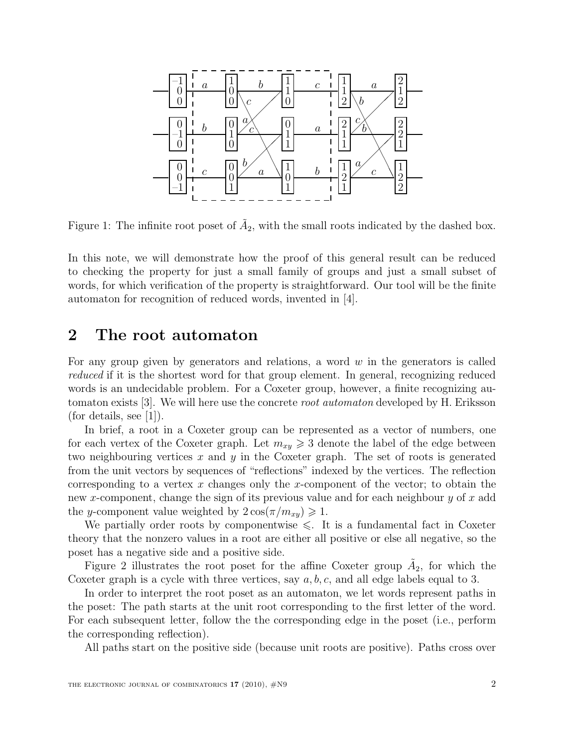

Figure 1: The infinite root poset of  $\tilde{A}_2$ , with the small roots indicated by the dashed box.

In this note, we will demonstrate how the proof of this general result can be reduced to checking the property for just a small family of groups and just a small subset of words, for which verification of the property is straightforward. Our tool will be the finite automaton for recognition of reduced words, invented in [4].

### 2 The root automaton

For any group given by generators and relations, a word  $w$  in the generators is called reduced if it is the shortest word for that group element. In general, recognizing reduced words is an undecidable problem. For a Coxeter group, however, a finite recognizing automaton exists [3]. We will here use the concrete root automaton developed by H. Eriksson (for details, see [1]).

In brief, a root in a Coxeter group can be represented as a vector of numbers, one for each vertex of the Coxeter graph. Let  $m_{xy} \geq 3$  denote the label of the edge between two neighbouring vertices  $x$  and  $y$  in the Coxeter graph. The set of roots is generated from the unit vectors by sequences of "reflections" indexed by the vertices. The reflection corresponding to a vertex  $x$  changes only the  $x$ -component of the vector; to obtain the new x-component, change the sign of its previous value and for each neighbour y of x add the y-component value weighted by  $2 \cos(\pi/m_{xy}) \geq 1$ .

We partially order roots by componentwise  $\leq$ . It is a fundamental fact in Coxeter theory that the nonzero values in a root are either all positive or else all negative, so the poset has a negative side and a positive side.

Figure 2 illustrates the root poset for the affine Coxeter group  $\tilde{A}_2$ , for which the Coxeter graph is a cycle with three vertices, say  $a, b, c$ , and all edge labels equal to 3.

In order to interpret the root poset as an automaton, we let words represent paths in the poset: The path starts at the unit root corresponding to the first letter of the word. For each subsequent letter, follow the the corresponding edge in the poset (i.e., perform the corresponding reflection).

All paths start on the positive side (because unit roots are positive). Paths cross over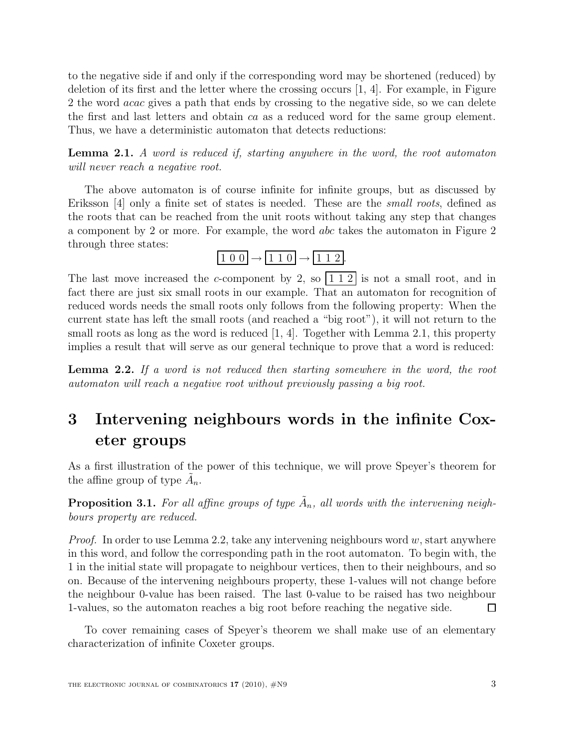to the negative side if and only if the corresponding word may be shortened (reduced) by deletion of its first and the letter where the crossing occurs [1, 4]. For example, in Figure 2 the word acac gives a path that ends by crossing to the negative side, so we can delete the first and last letters and obtain ca as a reduced word for the same group element. Thus, we have a deterministic automaton that detects reductions:

Lemma 2.1. A word is reduced if, starting anywhere in the word, the root automaton will never reach a negative root.

The above automaton is of course infinite for infinite groups, but as discussed by Eriksson [4] only a finite set of states is needed. These are the *small roots*, defined as the roots that can be reached from the unit roots without taking any step that changes a component by 2 or more. For example, the word abc takes the automaton in Figure 2 through three states:



The last move increased the c-component by 2, so  $\left| \frac{1}{2} \right|$  is not a small root, and in fact there are just six small roots in our example. That an automaton for recognition of reduced words needs the small roots only follows from the following property: When the current state has left the small roots (and reached a "big root"), it will not return to the small roots as long as the word is reduced [1, 4]. Together with Lemma 2.1, this property implies a result that will serve as our general technique to prove that a word is reduced:

Lemma 2.2. If a word is not reduced then starting somewhere in the word, the root automaton will reach a negative root without previously passing a big root.

## 3 Intervening neighbours words in the infinite Coxeter groups

As a first illustration of the power of this technique, we will prove Speyer's theorem for the affine group of type  $\tilde{A}_n$ .

**Proposition 3.1.** For all affine groups of type  $\tilde{A}_n$ , all words with the intervening neighbours property are reduced.

*Proof.* In order to use Lemma 2.2, take any intervening neighbours word  $w$ , start anywhere in this word, and follow the corresponding path in the root automaton. To begin with, the 1 in the initial state will propagate to neighbour vertices, then to their neighbours, and so on. Because of the intervening neighbours property, these 1-values will not change before the neighbour 0-value has been raised. The last 0-value to be raised has two neighbour 1-values, so the automaton reaches a big root before reaching the negative side. П

To cover remaining cases of Speyer's theorem we shall make use of an elementary characterization of infinite Coxeter groups.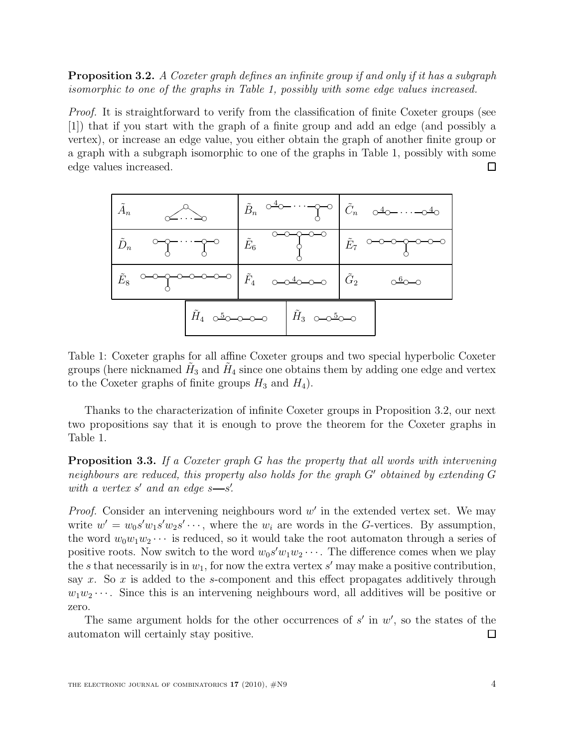Proposition 3.2. A Coxeter graph defines an infinite group if and only if it has a subgraph isomorphic to one of the graphs in Table 1, possibly with some edge values increased.

Proof. It is straightforward to verify from the classification of finite Coxeter groups (see [1]) that if you start with the graph of a finite group and add an edge (and possibly a vertex), or increase an edge value, you either obtain the graph of another finite group or a graph with a subgraph isomorphic to one of the graphs in Table 1, possibly with some edge values increased.  $\Box$ 



Table 1: Coxeter graphs for all affine Coxeter groups and two special hyperbolic Coxeter groups (here nicknamed  $\tilde{H}_3$  and  $\tilde{H}_4$  since one obtains them by adding one edge and vertex to the Coxeter graphs of finite groups  $H_3$  and  $H_4$ ).

Thanks to the characterization of infinite Coxeter groups in Proposition 3.2, our next two propositions say that it is enough to prove the theorem for the Coxeter graphs in Table 1.

**Proposition 3.3.** If a Coxeter graph G has the property that all words with intervening neighbours are reduced, this property also holds for the graph G′ obtained by extending G with a vertex  $s'$  and an edge  $s$ — $s'$ .

*Proof.* Consider an intervening neighbours word  $w'$  in the extended vertex set. We may write  $w' = w_0 s' w_1 s' w_2 s' \cdots$ , where the  $w_i$  are words in the G-vertices. By assumption, the word  $w_0w_1w_2\cdots$  is reduced, so it would take the root automaton through a series of positive roots. Now switch to the word  $w_0 s' w_1 w_2 \cdots$ . The difference comes when we play the s that necessarily is in  $w_1$ , for now the extra vertex s' may make a positive contribution, say x. So x is added to the s-component and this effect propagates additively through  $w_1w_2 \cdots$ . Since this is an intervening neighbours word, all additives will be positive or zero.

The same argument holds for the other occurrences of  $s'$  in  $w'$ , so the states of the automaton will certainly stay positive.  $\Box$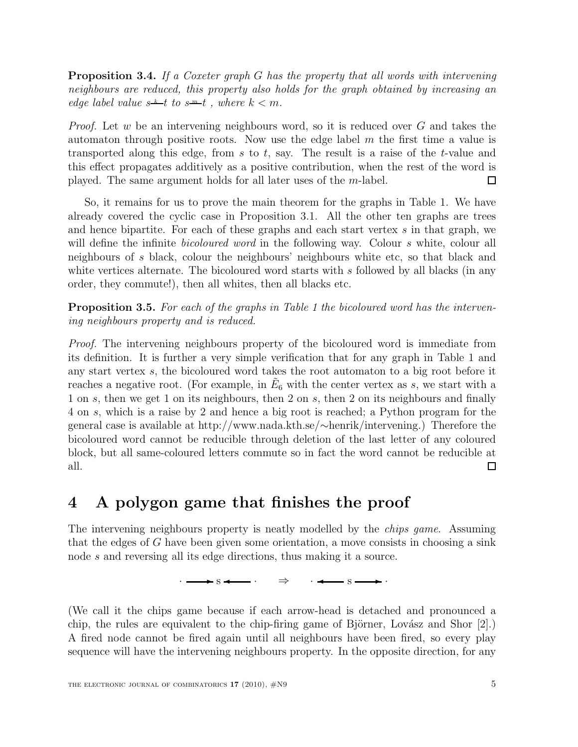**Proposition 3.4.** If a Coxeter graph G has the property that all words with intervening neighbours are reduced, this property also holds for the graph obtained by increasing an edge label value  $s^{\underline{k}}-t$  to  $s^{\underline{m}}-t$ , where  $k < m$ .

*Proof.* Let w be an intervening neighbours word, so it is reduced over G and takes the automaton through positive roots. Now use the edge label  $m$  the first time a value is transported along this edge, from s to t, say. The result is a raise of the t-value and this effect propagates additively as a positive contribution, when the rest of the word is played. The same argument holds for all later uses of the m-label. □

So, it remains for us to prove the main theorem for the graphs in Table 1. We have already covered the cyclic case in Proposition 3.1. All the other ten graphs are trees and hence bipartite. For each of these graphs and each start vertex s in that graph, we will define the infinite *bicoloured word* in the following way. Colour s white, colour all neighbours of s black, colour the neighbours' neighbours white etc, so that black and white vertices alternate. The bicoloured word starts with s followed by all blacks (in any order, they commute!), then all whites, then all blacks etc.

Proposition 3.5. For each of the graphs in Table 1 the bicoloured word has the intervening neighbours property and is reduced.

Proof. The intervening neighbours property of the bicoloured word is immediate from its definition. It is further a very simple verification that for any graph in Table 1 and any start vertex s, the bicoloured word takes the root automaton to a big root before it reaches a negative root. (For example, in  $\tilde{E}_6$  with the center vertex as s, we start with a 1 on s, then we get 1 on its neighbours, then 2 on s, then 2 on its neighbours and finally 4 on s, which is a raise by 2 and hence a big root is reached; a Python program for the general case is available at http://www.nada.kth.se/∼henrik/intervening.) Therefore the bicoloured word cannot be reducible through deletion of the last letter of any coloured block, but all same-coloured letters commute so in fact the word cannot be reducible at all. □

### 4 A polygon game that finishes the proof

The intervening neighbours property is neatly modelled by the *chips game*. Assuming that the edges of  $G$  have been given some orientation, a move consists in choosing a sink node s and reversing all its edge directions, thus making it a source.

 $\cdot \longrightarrow s \longrightarrow \cdot \rightarrow \cdot \rightarrow \cdot$ 

(We call it the chips game because if each arrow-head is detached and pronounced a chip, the rules are equivalent to the chip-firing game of Björner, Lovász and Shor  $[2]$ .) A fired node cannot be fired again until all neighbours have been fired, so every play sequence will have the intervening neighbours property. In the opposite direction, for any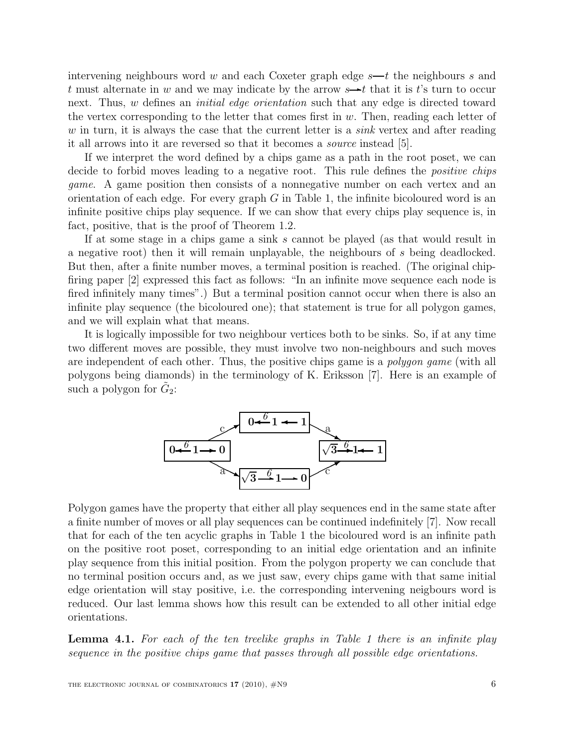intervening neighbours word w and each Coxeter graph edge  $s$ —t the neighbours s and t must alternate in w and we may indicate by the arrow  $s \rightarrow t$  that it is t's turn to occur next. Thus, w defines an *initial edge orientation* such that any edge is directed toward the vertex corresponding to the letter that comes first in  $w$ . Then, reading each letter of w in turn, it is always the case that the current letter is a *sink* vertex and after reading it all arrows into it are reversed so that it becomes a source instead [5].

If we interpret the word defined by a chips game as a path in the root poset, we can decide to forbid moves leading to a negative root. This rule defines the *positive chips* game. A game position then consists of a nonnegative number on each vertex and an orientation of each edge. For every graph  $G$  in Table 1, the infinite bicoloured word is an infinite positive chips play sequence. If we can show that every chips play sequence is, in fact, positive, that is the proof of Theorem 1.2.

If at some stage in a chips game a sink s cannot be played (as that would result in a negative root) then it will remain unplayable, the neighbours of s being deadlocked. But then, after a finite number moves, a terminal position is reached. (The original chipfiring paper [2] expressed this fact as follows: "In an infinite move sequence each node is fired infinitely many times".) But a terminal position cannot occur when there is also an infinite play sequence (the bicoloured one); that statement is true for all polygon games, and we will explain what that means.

It is logically impossible for two neighbour vertices both to be sinks. So, if at any time two different moves are possible, they must involve two non-neighbours and such moves are independent of each other. Thus, the positive chips game is a *polygon game* (with all polygons being diamonds) in the terminology of K. Eriksson [7]. Here is an example of such a polygon for  $\tilde{G}_2$ :



Polygon games have the property that either all play sequences end in the same state after a finite number of moves or all play sequences can be continued indefinitely [7]. Now recall that for each of the ten acyclic graphs in Table 1 the bicoloured word is an infinite path on the positive root poset, corresponding to an initial edge orientation and an infinite play sequence from this initial position. From the polygon property we can conclude that no terminal position occurs and, as we just saw, every chips game with that same initial edge orientation will stay positive, i.e. the corresponding intervening neigbours word is reduced. Our last lemma shows how this result can be extended to all other initial edge orientations.

Lemma 4.1. For each of the ten treelike graphs in Table 1 there is an infinite play sequence in the positive chips game that passes through all possible edge orientations.